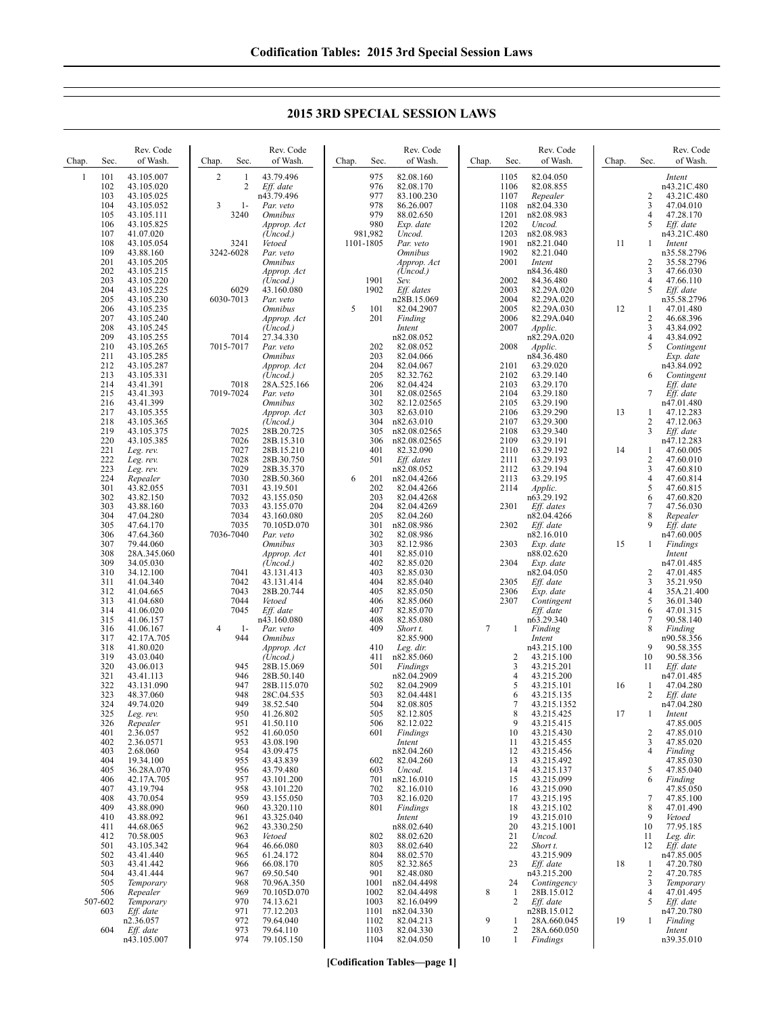**2015 3RD SPECIAL SESSION LAWS**

| Chap.        | Sec.       | Rev. Code<br>of Wash.    | Sec.<br>Chap.                         | Rev. Code<br>of Wash.         | Sec.<br>Chap.   | Rev. Code<br>of Wash.     | Chap.          | Sec.                 | Rev. Code<br>of Wash.      | Chap. | Sec.                             | Rev. Code<br>of Wash.     |
|--------------|------------|--------------------------|---------------------------------------|-------------------------------|-----------------|---------------------------|----------------|----------------------|----------------------------|-------|----------------------------------|---------------------------|
| $\mathbf{1}$ | 101<br>102 | 43.105.007               | $\overline{2}$<br>1<br>$\overline{c}$ | 43.79.496                     | 975<br>976      | 82.08.160                 |                | 1105                 | 82.04.050                  |       |                                  | Intent                    |
|              | 103        | 43.105.020<br>43.105.025 |                                       | Eff. date<br>n43.79.496       | 977             | 82.08.170<br>83.100.230   |                | 1106<br>1107         | 82.08.855<br>Repealer      |       | 2                                | n43.21C.480<br>43.21C.480 |
|              | 104        | 43.105.052               | 3<br>$1-$                             | Par. veto                     | 978             | 86.26.007                 |                | 1108                 | n82.04.330                 |       | 3                                | 47.04.010                 |
|              | 105        | 43.105.111               | 3240                                  | <i><b>Omnibus</b></i>         | 979             | 88.02.650                 |                | 1201                 | n82.08.983                 |       | $\overline{4}$                   | 47.28.170                 |
|              | 106<br>107 | 43.105.825<br>41.07.020  |                                       | Approp. Act<br>(Uncod.)       | 980<br>981,982  | Exp. date<br>Uncod.       |                | 1202<br>1203         | Uncod.<br>n82.08.983       |       | 5                                | Eff. date<br>n43.21C.480  |
|              | 108        | 43.105.054               | 3241                                  | Vetoed                        | 1101-1805       | Par. veto                 |                | 1901                 | n82.21.040                 | 11    | 1                                | Intent                    |
|              | 109        | 43.88.160                | 3242-6028                             | Par. veto                     |                 | <i><b>Omnibus</b></i>     |                | 1902                 | 82.21.040                  |       |                                  | n35.58.2796               |
|              | 201        | 43.105.205               |                                       | <b>Omnibus</b>                |                 | Approp. Act               |                | 2001                 | Intent                     |       | $\overline{c}$                   | 35.58.2796                |
|              | 202<br>203 | 43.105.215<br>43.105.220 |                                       | Approp. Act<br>(Uncod.)       | 1901            | (Uncod.)<br>Sev.          |                | 2002                 | n84.36.480<br>84.36.480    |       | 3<br>$\overline{4}$              | 47.66.030<br>47.66.110    |
|              | 204        | 43.105.225               | 6029                                  | 43.160.080                    | 1902            | Eff. dates                |                | 2003                 | 82.29A.020                 |       | 5                                | Eff. date                 |
|              | 205        | 43.105.230               | 6030-7013                             | Par. veto                     |                 | n28B.15.069               |                | 2004                 | 82.29A.020                 |       |                                  | n35.58.2796               |
|              | 206<br>207 | 43.105.235               |                                       | <b>Omnibus</b><br>Approp. Act | 5<br>101<br>201 | 82.04.2907<br>Finding     |                | 2005<br>2006         | 82.29A.030                 | 12    | $\mathbf{1}$<br>$\sqrt{2}$       | 47.01.480                 |
|              | 208        | 43.105.240<br>43.105.245 |                                       | (Uncod.)                      |                 | Intent                    |                | 2007                 | 82.29A.040<br>Applic.      |       | 3                                | 46.68.396<br>43.84.092    |
|              | 209        | 43.105.255               | 7014                                  | 27.34.330                     |                 | n82.08.052                |                |                      | n82.29A.020                |       | $\overline{4}$                   | 43.84.092                 |
|              | 210        | 43.105.265               | 7015-7017                             | Par. veto                     | 202             | 82.08.052                 |                | 2008                 | Applic.                    |       | 5                                | Contingent                |
|              | 211<br>212 | 43.105.285<br>43.105.287 |                                       | <b>Omnibus</b><br>Approp. Act | 203<br>204      | 82.04.066<br>82.04.067    |                | 2101                 | n84.36.480<br>63.29.020    |       |                                  | Exp. date<br>n43.84.092   |
|              | 213        | 43.105.331               |                                       | (Uncod.)                      | 205             | 82.32.762                 |                | 2102                 | 63.29.140                  |       | 6                                | Contingent                |
|              | 214        | 43.41.391                | 7018                                  | 28A.525.166                   | 206             | 82.04.424                 |                | 2103                 | 63.29.170                  |       |                                  | Eff. date                 |
|              | 215        | 43.41.393                | 7019-7024                             | Par. veto                     | 301             | 82.08.02565               |                | 2104                 | 63.29.180                  |       | 7                                | Eff. date                 |
|              | 216<br>217 | 43.41.399                |                                       | <i><b>Omnibus</b></i>         | 302<br>303      | 82.12.02565<br>82.63.010  |                | 2105<br>2106         | 63.29.190                  | 13    |                                  | n47.01.480<br>47.12.283   |
|              | 218        | 43.105.355<br>43.105.365 |                                       | Approp. Act<br>(Uncod.)       | 304             | n82.63.010                |                | 2107                 | 63.29.290<br>63.29.300     |       | -1<br>$\overline{c}$             | 47.12.063                 |
|              | 219        | 43.105.375               | 7025                                  | 28B.20.725                    | 305             | n82.08.02565              |                | 2108                 | 63.29.340                  |       | 3                                | Eff. date                 |
|              | 220        | 43.105.385               | 7026                                  | 28B.15.310                    | 306             | n82.08.02565              |                | 2109                 | 63.29.191                  |       |                                  | n47.12.283                |
|              | 221        | Leg. rev.                | 7027                                  | 28B.15.210                    | 401             | 82.32.090                 |                | 2110                 | 63.29.192                  | 14    | 1                                | 47.60.005                 |
|              | 222<br>223 | Leg. rev.<br>Leg. rev.   | 7028<br>7029                          | 28B.30.750<br>28B.35.370      | 501             | Eff. dates<br>n82.08.052  |                | 2111<br>2112         | 63.29.193<br>63.29.194     |       | $\overline{c}$<br>$\mathfrak{Z}$ | 47.60.010<br>47.60.810    |
|              | 224        | Repealer                 | 7030                                  | 28B.50.360                    | 6<br>201        | n82.04.4266               |                | 2113                 | 63.29.195                  |       | $\overline{4}$                   | 47.60.814                 |
|              | 301        | 43.82.055                | 7031                                  | 43.19.501                     | 202             | 82.04.4266                |                | 2114                 | Applic.                    |       | 5                                | 47.60.815                 |
|              | 302        | 43.82.150                | 7032                                  | 43.155.050                    | 203             | 82.04.4268                |                |                      | n63.29.192                 |       | 6                                | 47.60.820                 |
|              | 303<br>304 | 43.88.160<br>47.04.280   | 7033<br>7034                          | 43.155.070<br>43.160.080      | 204<br>205      | 82.04.4269<br>82.04.260   |                | 2301                 | Eff. dates<br>n82.04.4266  |       | $\tau$<br>8                      | 47.56.030<br>Repealer     |
|              | 305        | 47.64.170                | 7035                                  | 70.105D.070                   | 301             | n82.08.986                |                | 2302                 | Eff. date                  |       | 9                                | Eff. date                 |
|              | 306        | 47.64.360                | 7036-7040                             | Par. veto                     | 302             | 82.08.986                 |                |                      | n82.16.010                 |       |                                  | n47.60.005                |
|              | 307        | 79.44.060                |                                       | <b>Omnibus</b>                | 303             | 82.12.986                 |                | 2303                 | Exp. date                  | 15    | 1                                | <b>Findings</b>           |
|              | 308<br>309 | 28A.345.060<br>34.05.030 |                                       | Approp. Act<br>(Uncod.)       | 401<br>402      | 82.85.010<br>82.85.020    |                | 2304                 | n88.02.620<br>Exp. date    |       |                                  | Intent<br>n47.01.485      |
|              | 310        | 34.12.100                | 7041                                  | 43.131.413                    | 403             | 82.85.030                 |                |                      | n82.04.050                 |       | 2                                | 47.01.485                 |
|              | 311        | 41.04.340                | 7042                                  | 43.131.414                    | 404             | 82.85.040                 |                | 2305                 | Eff. date                  |       | 3                                | 35.21.950                 |
|              | 312        | 41.04.665                | 7043                                  | 28B.20.744                    | 405             | 82.85.050                 |                | 2306                 | Exp. date                  |       | $\overline{4}$                   | 35A.21.400                |
|              | 313<br>314 | 41.04.680<br>41.06.020   | 7044<br>7045                          | Vetoed<br>Eff. date           | 406<br>407      | 82.85.060<br>82.85.070    |                | 2307                 | Contingent<br>Eff. date    |       | $\sqrt{5}$<br>6                  | 36.01.340<br>47.01.315    |
|              | 315        | 41.06.157                |                                       | n43.160.080                   | 408             | 82.85.080                 |                |                      | n63.29.340                 |       | $\overline{7}$                   | 90.58.140                 |
|              | 316        | 41.06.167                | $\overline{4}$<br>$1-$                | Par. veto                     | 409             | Short t.                  | $\overline{7}$ | -1                   | Finding                    |       | 8                                | Finding                   |
|              | 317        | 42.17A.705               | 944                                   | Omnibus                       |                 | 82.85.900                 |                |                      | Intent                     |       |                                  | n90.58.356                |
|              | 318<br>319 | 41.80.020<br>43.03.040   |                                       | Approp. Act<br>(Uncod.)       | 410<br>411      | Leg. dir.<br>n82.85.060   |                | 2                    | n43.215.100<br>43.215.100  |       | 9<br>10                          | 90.58.355<br>90.58.356    |
|              | 320        | 43.06.013                | 945                                   | 28B.15.069                    | 501             | Findings                  |                | 3                    | 43.215.201                 |       | 11                               | Eff. date                 |
|              | 321        | 43.41.113                | 946                                   | 28B.50.140                    |                 | n82.04.2909               |                | 4                    | 43.215.200                 |       |                                  | n47.01.485                |
|              | 322        | 43.131.090               | 947                                   | 28B.115.070                   | 502             | 82.04.2909                |                | 5                    | 43.215.101                 | 16    | 1                                | 47.04.280                 |
|              | 323<br>324 | 48.37.060<br>49.74.020   | 948<br>949                            | 28C.04.535<br>38.52.540       | 503<br>504      | 82.04.4481<br>82.08.805   |                | 6<br>7               | 43.215.135<br>43.215.1352  |       | 2                                | Eff. date<br>n47.04.280   |
|              | 325        | Leg. rev.                | 950                                   | 41.26.802                     | 505             | 82.12.805                 |                | 8                    | 43.215.425                 | 17    | 1                                | Intent                    |
|              | 326        | Repealer                 | 951                                   | 41.50.110                     | 506             | 82.12.022                 |                | 9                    | 43.215.415                 |       |                                  | 47.85.005                 |
|              | 401        | 2.36.057                 | 952                                   | 41.60.050                     | 601             | Findings                  |                | 10                   | 43.215.430                 |       | 2                                | 47.85.010                 |
|              | 402<br>403 | 2.36.0571<br>2.68.060    | 953<br>954                            | 43.08.190<br>43.09.475        |                 | Intent<br>n82.04.260      |                | 11<br>12             | 43.215.455<br>43.215.456   |       | 3<br>$\overline{4}$              | 47.85.020<br>Finding      |
|              | 404        | 19.34.100                | 955                                   | 43.43.839                     | 602             | 82.04.260                 |                | 13                   | 43.215.492                 |       |                                  | 47.85.030                 |
|              | 405        | 36.28A.070               | 956                                   | 43.79.480                     | 603             | Uncod.                    |                | 14                   | 43.215.137                 |       | 5                                | 47.85.040                 |
|              | 406        | 42.17A.705               | 957                                   | 43.101.200                    | 701             | n82.16.010                |                | 15                   | 43.215.099                 |       | 6                                | Finding                   |
|              | 407<br>408 | 43.19.794<br>43.70.054   | 958<br>959                            | 43.101.220<br>43.155.050      | 702<br>703      | 82.16.010<br>82.16.020    |                | 16<br>17             | 43.215.090<br>43.215.195   |       | 7                                | 47.85.050<br>47.85.100    |
|              | 409        | 43.88.090                | 960                                   | 43.320.110                    | 801             | Findings                  |                | 18                   | 43.215.102                 |       | 8                                | 47.01.490                 |
|              | 410        | 43.88.092                | 961                                   | 43.325.040                    |                 | Intent                    |                | 19                   | 43.215.010                 |       | 9                                | Vetoed                    |
|              | 411        | 44.68.065                | 962                                   | 43.330.250                    |                 | n88.02.640                |                | 20                   | 43.215.1001                |       | 10                               | 77.95.185                 |
|              | 412<br>501 | 70.58.005<br>43.105.342  | 963<br>964                            | Vetoed<br>46.66.080           | 802<br>803      | 88.02.620<br>88.02.640    |                | 21<br>22             | Uncod.<br>Short t.         |       | 11<br>12                         | Leg. dir.<br>Eff. date    |
|              | 502        | 43.41.440                | 965                                   | 61.24.172                     | 804             | 88.02.570                 |                |                      | 43.215.909                 |       |                                  | n47.85.005                |
|              | 503        | 43.41.442                | 966                                   | 66.08.170                     | 805             | 82.32.865                 |                | 23                   | Eff. date                  | 18    | 1                                | 47.20.780                 |
|              | 504        | 43.41.444                | 967                                   | 69.50.540                     | 901             | 82.48.080                 |                |                      | n43.215.200                |       | $\overline{2}$                   | 47.20.785                 |
|              | 505<br>506 | Temporary<br>Repealer    | 968<br>969                            | 70.96A.350<br>70.105D.070     | 1001<br>1002    | n82.04.4498<br>82.04.4498 | 8              | 24<br>$\mathbf{1}$   | Contingency<br>28B.15.012  |       | 3<br>4                           | Temporary<br>47.01.495    |
|              | 507-602    | Temporary                | 970                                   | 74.13.621                     | 1003            | 82.16.0499                |                | 2                    | Eff. date                  |       | 5                                | Eff. date                 |
|              | 603        | Eff. date                | 971                                   | 77.12.203                     | 1101            | n82.04.330                |                |                      | n28B.15.012                |       |                                  | n47.20.780                |
|              | 604        | n2.36.057<br>Eff. date   | 972<br>973                            | 79.64.040<br>79.64.110        | 1102<br>1103    | 82.04.213<br>82.04.330    | 9              | -1<br>$\overline{c}$ | 28A.660.045<br>28A.660.050 | 19    | 1                                | Finding                   |
|              |            | n43.105.007              | 974                                   | 79.105.150                    | 1104            | 82.04.050                 | 10             | $\mathbf{1}$         | Findings                   |       |                                  | Intent<br>n39.35.010      |
|              |            |                          |                                       |                               |                 |                           |                |                      |                            |       |                                  |                           |